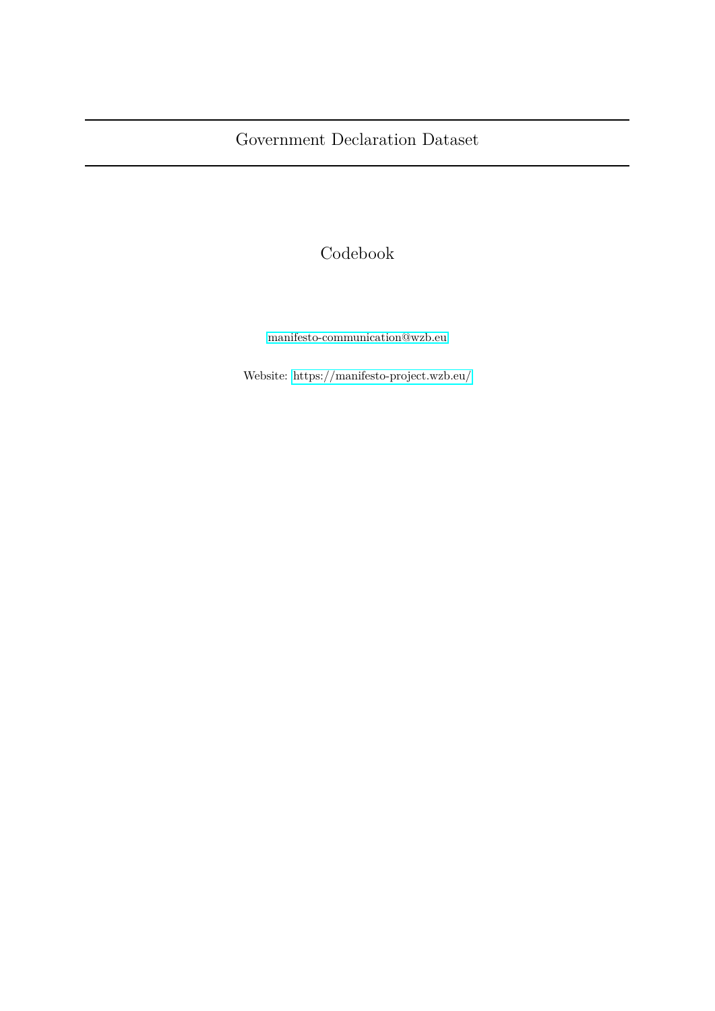# Codebook

[manifesto-communication@wzb.eu](mailto:manifesto-communication@wzb.eu)

Website:<https://manifesto-project.wzb.eu/>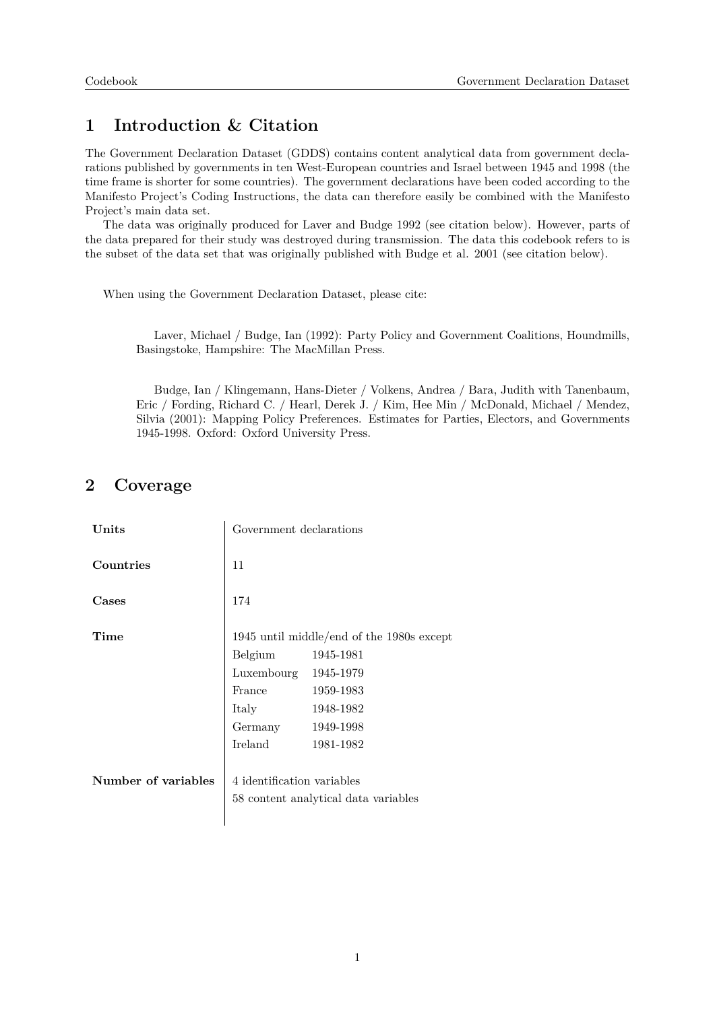## **1 Introduction & Citation**

The Government Declaration Dataset (GDDS) contains content analytical data from government declarations published by governments in ten West-European countries and Israel between 1945 and 1998 (the time frame is shorter for some countries). The government declarations have been coded according to the Manifesto Project's Coding Instructions, the data can therefore easily be combined with the Manifesto Project's main data set.

The data was originally produced for Laver and Budge 1992 (see citation below). However, parts of the data prepared for their study was destroyed during transmission. The data this codebook refers to is the subset of the data set that was originally published with Budge et al. 2001 (see citation below).

When using the Government Declaration Dataset, please cite:

Laver, Michael / Budge, Ian (1992): Party Policy and Government Coalitions, Houndmills, Basingstoke, Hampshire: The MacMillan Press.

Budge, Ian / Klingemann, Hans-Dieter / Volkens, Andrea / Bara, Judith with Tanenbaum, Eric / Fording, Richard C. / Hearl, Derek J. / Kim, Hee Min / McDonald, Michael / Mendez, Silvia (2001): Mapping Policy Preferences. Estimates for Parties, Electors, and Governments 1945-1998. Oxford: Oxford University Press.

## **2 Coverage**

| Units               | Government declarations                                            |           |
|---------------------|--------------------------------------------------------------------|-----------|
| Countries           | 11                                                                 |           |
| Cases               | 174                                                                |           |
| Time                | 1945 until middle/end of the 1980s except                          |           |
|                     | Belgium                                                            | 1945-1981 |
|                     | Luxembourg                                                         | 1945-1979 |
|                     | France                                                             | 1959-1983 |
|                     | Italy                                                              | 1948-1982 |
|                     | Germany                                                            | 1949-1998 |
|                     | Ireland                                                            | 1981-1982 |
| Number of variables | 4 identification variables<br>58 content analytical data variables |           |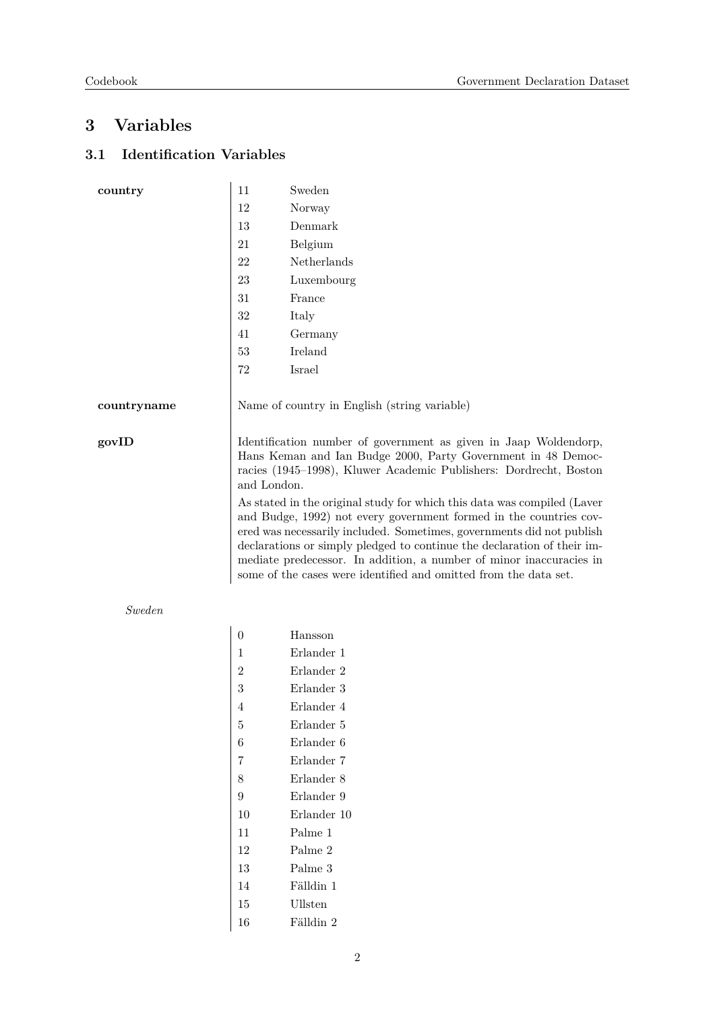## **3 Variables**

## **3.1 Identification Variables**

| country     | 11                                                                                                                                                                                                                                                                                                                                                                                                                                           | Sweden      |
|-------------|----------------------------------------------------------------------------------------------------------------------------------------------------------------------------------------------------------------------------------------------------------------------------------------------------------------------------------------------------------------------------------------------------------------------------------------------|-------------|
|             | 12                                                                                                                                                                                                                                                                                                                                                                                                                                           | Norway      |
|             | $13\,$                                                                                                                                                                                                                                                                                                                                                                                                                                       | Denmark     |
|             | 21                                                                                                                                                                                                                                                                                                                                                                                                                                           | Belgium     |
|             | 22                                                                                                                                                                                                                                                                                                                                                                                                                                           | Netherlands |
|             | 23                                                                                                                                                                                                                                                                                                                                                                                                                                           | Luxembourg  |
|             | 31                                                                                                                                                                                                                                                                                                                                                                                                                                           | France      |
|             | $32\,$                                                                                                                                                                                                                                                                                                                                                                                                                                       | Italy       |
|             | 41                                                                                                                                                                                                                                                                                                                                                                                                                                           | Germany     |
|             | 53                                                                                                                                                                                                                                                                                                                                                                                                                                           | Ireland     |
|             | 72                                                                                                                                                                                                                                                                                                                                                                                                                                           | Israel      |
|             |                                                                                                                                                                                                                                                                                                                                                                                                                                              |             |
| countryname | Name of country in English (string variable)                                                                                                                                                                                                                                                                                                                                                                                                 |             |
|             |                                                                                                                                                                                                                                                                                                                                                                                                                                              |             |
| govID       | Identification number of government as given in Jaap Woldendorp,<br>Hans Keman and Ian Budge 2000, Party Government in 48 Democ-<br>racies (1945–1998), Kluwer Academic Publishers: Dordrecht, Boston<br>and London.                                                                                                                                                                                                                         |             |
|             | As stated in the original study for which this data was compiled (Laver<br>and Budge, 1992) not every government formed in the countries cov-<br>ered was necessarily included. Sometimes, governments did not publish<br>declarations or simply pledged to continue the declaration of their im-<br>mediate predecessor. In addition, a number of minor inaccuracies in<br>some of the cases were identified and omitted from the data set. |             |

#### *Sweden*

| 0              | Hansson     |
|----------------|-------------|
| 1              | Erlander 1  |
| $\overline{2}$ | Erlander 2  |
| 3              | Erlander 3  |
| 4              | Erlander 4  |
| 5              | Erlander 5  |
| 6              | Erlander 6  |
| 7              | Erlander 7  |
| 8              | Erlander 8  |
| 9              | Erlander 9  |
| 10             | Erlander 10 |
| 11             | Palme 1     |
| 12             | Palme 2     |
| 13             | Palme 3     |
| 14             | Fälldin 1   |
| 15             | Ullsten     |
| 16             | Fälldin 2   |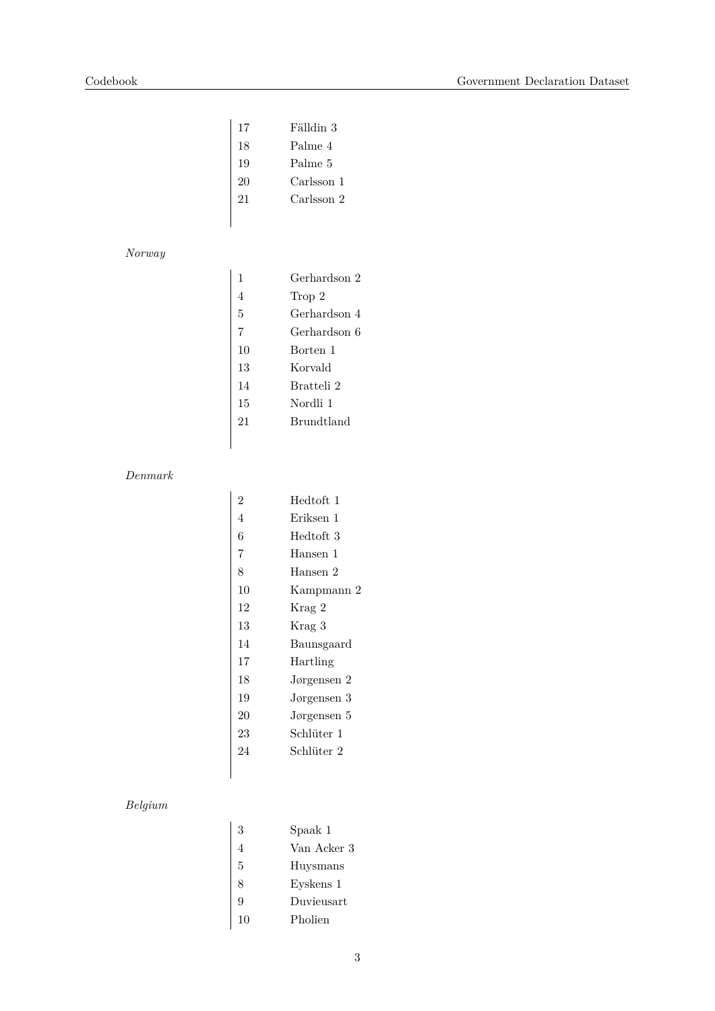| 17 | Fälldin 3  |
|----|------------|
| 18 | Palme 4    |
| 19 | Palme 5    |
| 20 | Carlsson 1 |
| 21 | Carlsson 2 |

### *Norway*

| 1  | Gerhardson 2      |
|----|-------------------|
| 4  | Trop 2            |
| 5  | Gerhardson 4      |
| 7  | Gerhardson 6      |
| 10 | Borten 1          |
| 13 | Korvald           |
| 14 | Bratteli 2        |
| 15 | Nordli 1          |
| 21 | <b>Brundtland</b> |
|    |                   |

#### *Denmark*

| 2  | Hedtoft 1   |
|----|-------------|
| 4  | Eriksen 1   |
| 6  | Hedtoft 3   |
| 7  | Hansen 1    |
| 8  | Hansen 2    |
| 10 | Kampmann 2  |
| 12 | Krag 2      |
| 13 | Krag 3      |
| 14 | Baunsgaard  |
| 17 | Hartling    |
| 18 | Jørgensen 2 |
| 19 | Jørgensen 3 |
| 20 | Jørgensen 5 |
| 23 | Schlüter 1  |
| 24 | Schlüter 2  |
|    |             |

## *Belgium*

| 3  | Spaak 1     |
|----|-------------|
| 4  | Van Acker 3 |
| 5  | Huysmans    |
| 8  | Eyskens 1   |
| 9  | Duvieusart  |
| 10 | Pholien     |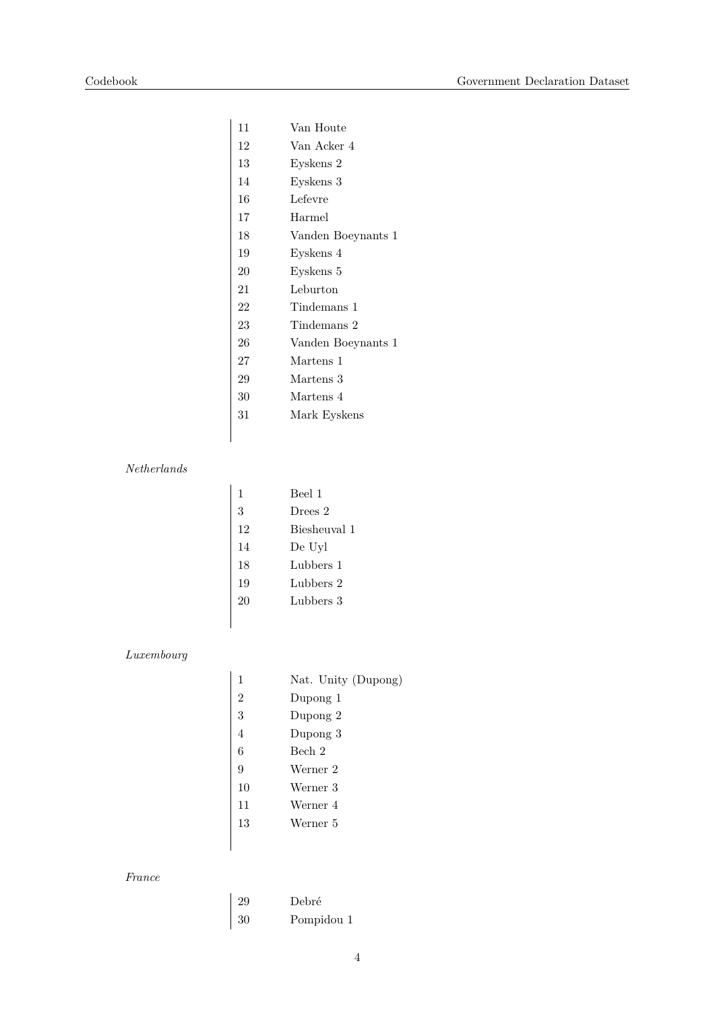| 11 | Van Houte          |
|----|--------------------|
| 12 | Van Acker 4        |
| 13 | Eyskens 2          |
| 14 | Eyskens 3          |
| 16 | Lefevre            |
| 17 | Harmel             |
| 18 | Vanden Boeynants 1 |
| 19 | Eyskens 4          |
| 20 | Eyskens 5          |
| 21 | Leburton           |
| 22 | Tindemans 1        |
| 23 | Tindemans 2        |
| 26 | Vanden Boeynants 1 |
| 27 | Martens 1          |
| 29 | Martens 3          |
| 30 | Martens 4          |
| 31 | Mark Eyskens       |
|    |                    |

#### *Netherlands*

| 1  | Beel 1       |
|----|--------------|
| 3  | Drees 2      |
| 12 | Biesheuval 1 |
| 14 | De Uyl       |
| 18 | Lubbers 1    |
| 19 | Lubbers 2    |
| 20 | Lubbers 3    |
|    |              |

### *Luxembourg*

| 1              | Nat. Unity (Dupong) |
|----------------|---------------------|
| $\overline{2}$ | Dupong 1            |
| 3              | Dupong 2            |
| $\overline{4}$ | Dupong 3            |
| 6              | Bech 2              |
| 9              | Werner 2            |
| 10             | Werner 3            |
| 11             | Werner 4            |
| 13             | Werner 5            |
|                |                     |

### *France*

| 29 | Debré      |
|----|------------|
| 30 | Pompidou 1 |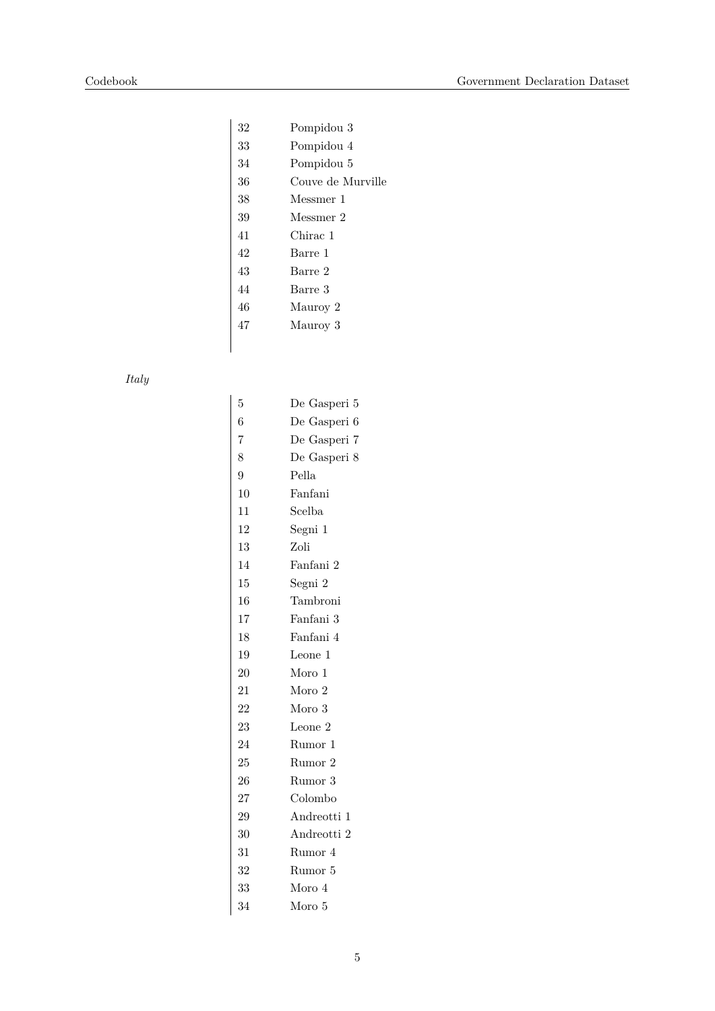| 32 | Pompidou 3        |
|----|-------------------|
| 33 | Pompidou 4        |
| 34 | Pompidou 5        |
| 36 | Couve de Murville |
| 38 | Messmer 1         |
| 39 | Messmer 2         |
| 41 | Chirac 1          |
| 42 | Barre 1           |
| 43 | Barre 2           |
| 44 | Barre 3           |
| 46 | Mauroy 2          |
| 47 | Mauroy 3          |
|    |                   |
|    |                   |

### *Italy*

| 5              | De Gasperi 5 |
|----------------|--------------|
| 6              | De Gasperi 6 |
| $\overline{7}$ | De Gasperi 7 |
| 8              | De Gasperi 8 |
| 9              | Pella        |
| 10             | Fanfani      |
| 11             | Scelba       |
| 12             | Segni 1      |
| 13             | Zoli         |
| 14             | Fanfani 2    |
| 15             | Segni 2      |
| 16             | Tambroni     |
| 17             | Fanfani 3    |
| 18             | Fanfani 4    |
| 19             | Leone 1      |
| 20             | Moro 1       |
| 21             | Moro 2       |
| 22             | Moro 3       |
| 23             | Leone 2      |
| 24             | Rumor 1      |
| 25             | Rumor 2      |
| 26             | Rumor 3      |
| 27             | Colombo      |
| 29             | Andreotti 1  |
| 30             | Andreotti 2  |
| 31             | Rumor 4      |
| 32             | Rumor 5      |
| 33             | Moro 4       |
| 34             | Moro 5       |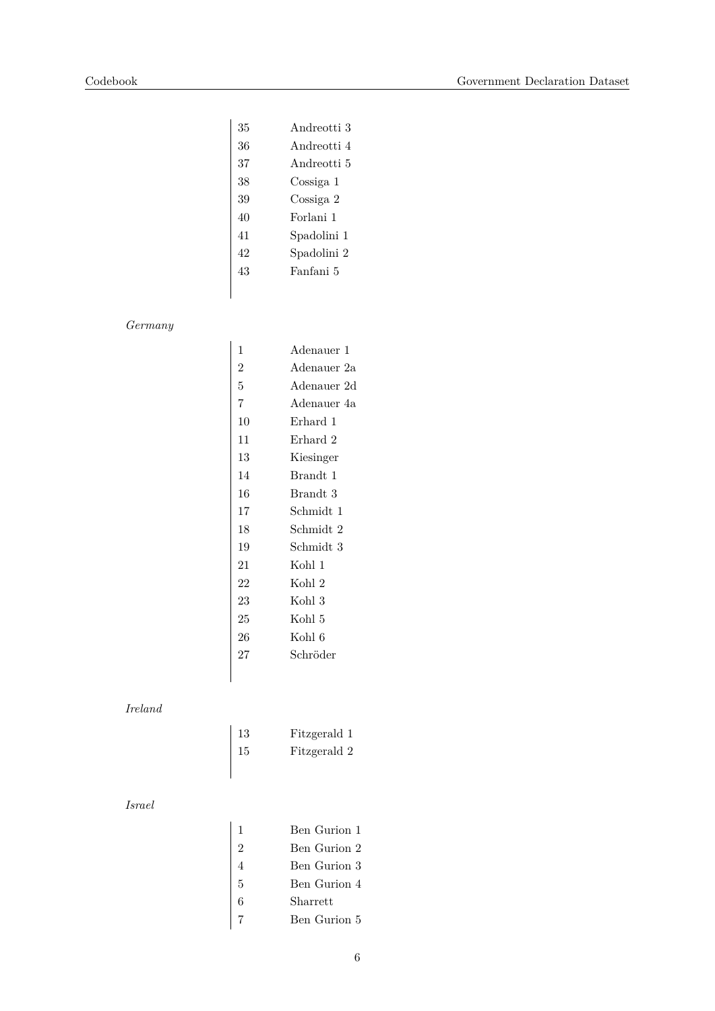| 35 | Andreotti 3 |
|----|-------------|
| 36 | Andreotti 4 |
| 37 | Andreotti 5 |
| 38 | Cossiga 1   |
| 39 | Cossiga 2   |
| 40 | Forlani 1   |
| 41 | Spadolini 1 |
| 42 | Spadolini 2 |
| 43 | Fanfani 5   |
|    |             |

### *Germany*

| 1              | Adenauer 1  |
|----------------|-------------|
| $\overline{2}$ | Adenauer 2a |
| 5              | Adenauer 2d |
| 7              | Adenauer 4a |
| 10             | Erhard 1    |
| 11             | Erhard 2    |
| 13             | Kiesinger   |
| 14             | Brandt 1    |
| 16             | Brandt 3    |
| 17             | Schmidt 1   |
| 18             | Schmidt 2   |
| 19             | Schmidt 3   |
| 21             | Kohl 1      |
| 22             | Kohl 2      |
| 23             | Kohl 3      |
| 25             | Kohl 5      |
| 26             | Kohl 6      |
| 27             | Schröder    |
|                |             |

### *Ireland*

| 13 | Fitzgerald 1 |
|----|--------------|
| 15 | Fitzgerald 2 |

#### *Israel*

| $\mathbf{1}$   | Ben Gurion 1 |
|----------------|--------------|
| $\overline{2}$ | Ben Gurion 2 |
| 4              | Ben Gurion 3 |
| 5              | Ben Gurion 4 |
| 6              | Sharrett     |
|                | Ben Gurion 5 |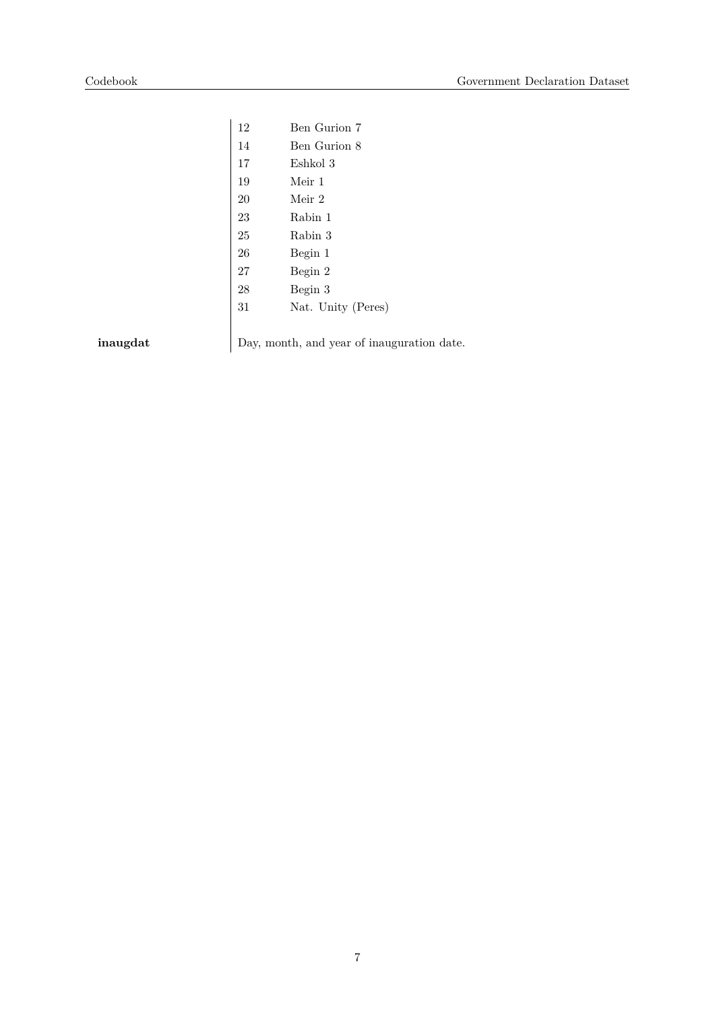| 12 | Ben Gurion 7       |
|----|--------------------|
| 14 | Ben Gurion 8       |
| 17 | Eshkol 3           |
| 19 | Meir 1             |
| 20 | Meir 2             |
| 23 | Rabin 1            |
| 25 | Rabin 3            |
| 26 | Begin 1            |
| 27 | Begin 2            |
| 28 | Begin 3            |
| 31 | Nat. Unity (Peres) |
|    |                    |
|    |                    |

**inaugdat** Day, month, and year of inauguration date.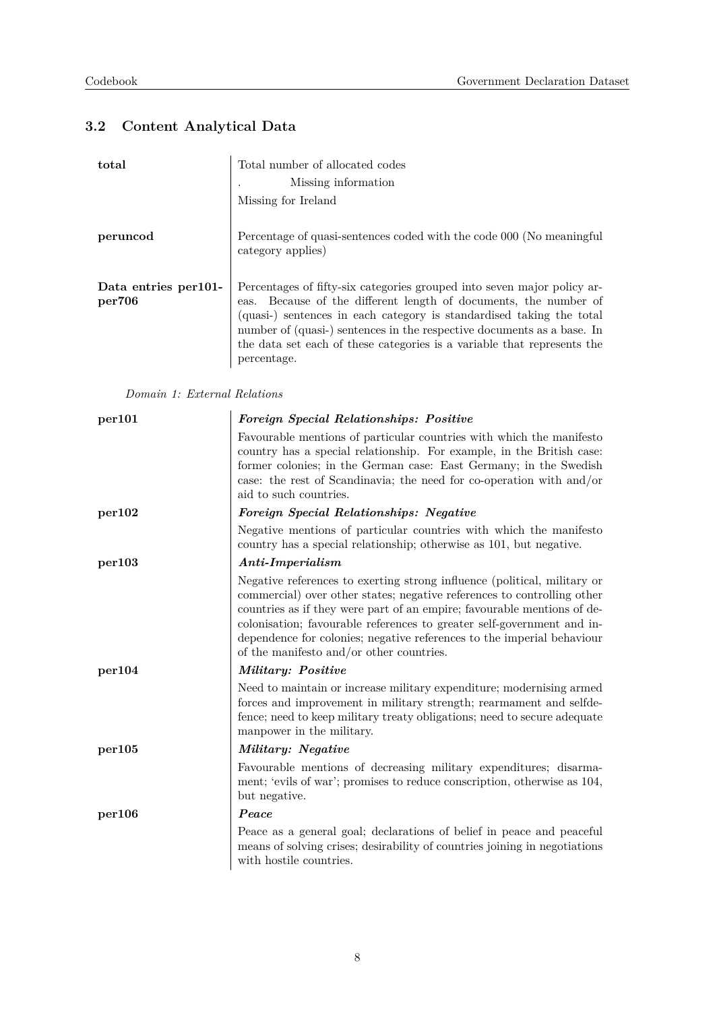## **3.2 Content Analytical Data**

| total                           | Total number of allocated codes                                                                                                                                                                                                                                                                                                                                                         |  |
|---------------------------------|-----------------------------------------------------------------------------------------------------------------------------------------------------------------------------------------------------------------------------------------------------------------------------------------------------------------------------------------------------------------------------------------|--|
|                                 | Missing information                                                                                                                                                                                                                                                                                                                                                                     |  |
|                                 | Missing for Ireland                                                                                                                                                                                                                                                                                                                                                                     |  |
| peruncod                        | Percentage of quasi-sentences coded with the code 000 (No meaningful<br>category applies)                                                                                                                                                                                                                                                                                               |  |
| Data entries per 101-<br>per706 | Percentages of fifty-six categories grouped into seven major policy ar-<br>eas. Because of the different length of documents, the number of<br>(quasi-) sentences in each category is standardised taking the total<br>number of (quasi-) sentences in the respective documents as a base. In<br>the data set each of these categories is a variable that represents the<br>percentage. |  |

*Domain 1: External Relations*

| per101 | Foreign Special Relationships: Positive                                                                                                                                                                                                                                                                                                                                                                                        |
|--------|--------------------------------------------------------------------------------------------------------------------------------------------------------------------------------------------------------------------------------------------------------------------------------------------------------------------------------------------------------------------------------------------------------------------------------|
|        | Favourable mentions of particular countries with which the manifesto<br>country has a special relationship. For example, in the British case:<br>former colonies; in the German case: East Germany; in the Swedish<br>case: the rest of Scandinavia; the need for co-operation with and/or<br>aid to such countries.                                                                                                           |
| per102 | Foreign Special Relationships: Negative                                                                                                                                                                                                                                                                                                                                                                                        |
|        | Negative mentions of particular countries with which the manifesto<br>country has a special relationship; otherwise as 101, but negative.                                                                                                                                                                                                                                                                                      |
| per103 | Anti-Imperialism                                                                                                                                                                                                                                                                                                                                                                                                               |
|        | Negative references to exerting strong influence (political, military or<br>commercial) over other states; negative references to controlling other<br>countries as if they were part of an empire; favourable mentions of de-<br>colonisation; favourable references to greater self-government and in-<br>dependence for colonies; negative references to the imperial behaviour<br>of the manifesto and/or other countries. |
| per104 | <i>Military: Positive</i>                                                                                                                                                                                                                                                                                                                                                                                                      |
|        | Need to maintain or increase military expenditure; modernising armed<br>forces and improvement in military strength; rearmament and selfde-<br>fence; need to keep military treaty obligations; need to secure adequate<br>manpower in the military.                                                                                                                                                                           |
| per105 | Military: Negative                                                                                                                                                                                                                                                                                                                                                                                                             |
|        | Favourable mentions of decreasing military expenditures; disarma-<br>ment; 'evils of war'; promises to reduce conscription, otherwise as 104,<br>but negative.                                                                                                                                                                                                                                                                 |
| per106 | Peace                                                                                                                                                                                                                                                                                                                                                                                                                          |
|        | Peace as a general goal; declarations of belief in peace and peaceful<br>means of solving crises; desirability of countries joining in negotiations<br>with hostile countries.                                                                                                                                                                                                                                                 |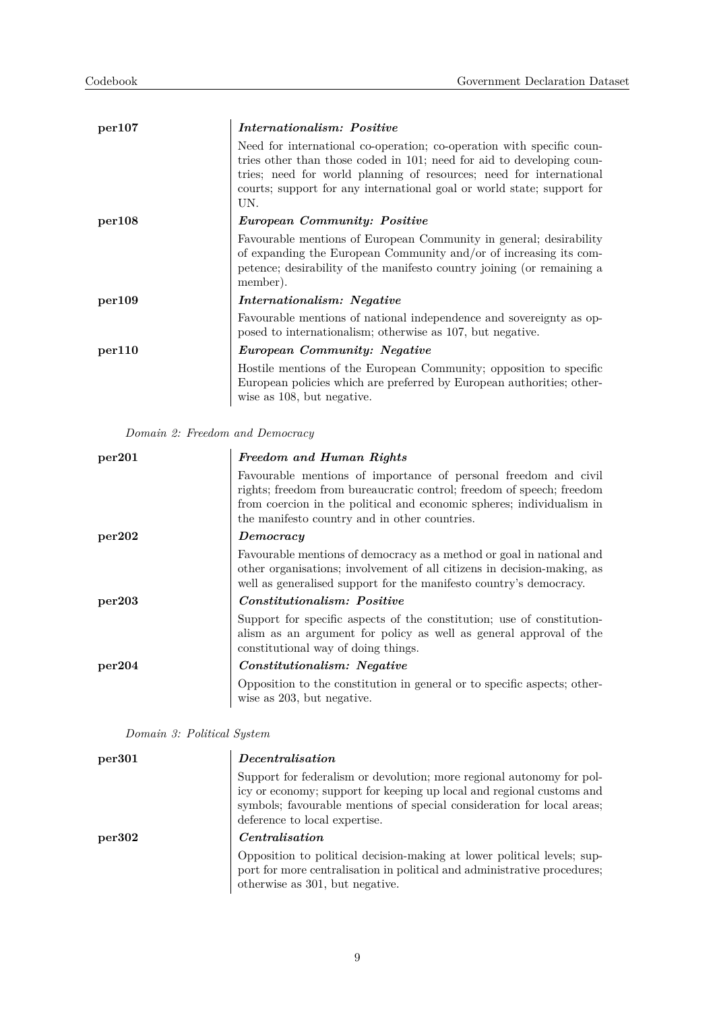| per107 | Internationalism: Positive                                                                                                                                                                                                                                                                             |
|--------|--------------------------------------------------------------------------------------------------------------------------------------------------------------------------------------------------------------------------------------------------------------------------------------------------------|
|        | Need for international co-operation; co-operation with specific coun-<br>tries other than those coded in 101; need for aid to developing coun-<br>tries; need for world planning of resources; need for international<br>courts; support for any international goal or world state; support for<br>UN. |
| per108 | European Community: Positive                                                                                                                                                                                                                                                                           |
|        | Favourable mentions of European Community in general; desirability<br>of expanding the European Community and/or of increasing its com-<br>petence; desirability of the manifesto country joining (or remaining a<br>member).                                                                          |
| per109 | <i>Internationalism: Negative</i>                                                                                                                                                                                                                                                                      |
|        | Favourable mentions of national independence and sovereignty as op-<br>posed to internationalism; otherwise as 107, but negative.                                                                                                                                                                      |
| per110 | <i>European Community: Negative</i>                                                                                                                                                                                                                                                                    |
|        | Hostile mentions of the European Community; opposition to specific<br>European policies which are preferred by European authorities; other-<br>wise as 108, but negative.                                                                                                                              |

*Domain 2: Freedom and Democracy*

| per201 | Freedom and Human Rights                                                                                                                                                                                                                                           |
|--------|--------------------------------------------------------------------------------------------------------------------------------------------------------------------------------------------------------------------------------------------------------------------|
|        | Favourable mentions of importance of personal freedom and civil<br>rights; freedom from bureaucratic control; freedom of speech; freedom<br>from coercion in the political and economic spheres; individualism in<br>the manifesto country and in other countries. |
| per202 | Democracy                                                                                                                                                                                                                                                          |
|        | Favourable mentions of democracy as a method or goal in national and<br>other organisations; involvement of all citizens in decision-making, as<br>well as generalised support for the manifesto country's democracy.                                              |
| per203 | <i>Constitutionalism: Positive</i>                                                                                                                                                                                                                                 |
|        | Support for specific aspects of the constitution; use of constitution-<br>alism as an argument for policy as well as general approval of the<br>constitutional way of doing things.                                                                                |
| per204 | <i>Constitutionalism: Negative</i>                                                                                                                                                                                                                                 |
|        | Opposition to the constitution in general or to specific aspects; other-<br>wise as 203, but negative.                                                                                                                                                             |

*Domain 3: Political System*

| per <sub>301</sub> | Decentralisation                                                                                                                                                                                                                                          |
|--------------------|-----------------------------------------------------------------------------------------------------------------------------------------------------------------------------------------------------------------------------------------------------------|
|                    | Support for federalism or devolution; more regional autonomy for pol-<br>icy or economy; support for keeping up local and regional customs and<br>symbols; favourable mentions of special consideration for local areas;<br>deference to local expertise. |
| per302             | <i>Centralisation</i>                                                                                                                                                                                                                                     |
|                    | Opposition to political decision-making at lower political levels; sup-<br>port for more centralisation in political and administrative procedures;<br>otherwise as 301, but negative.                                                                    |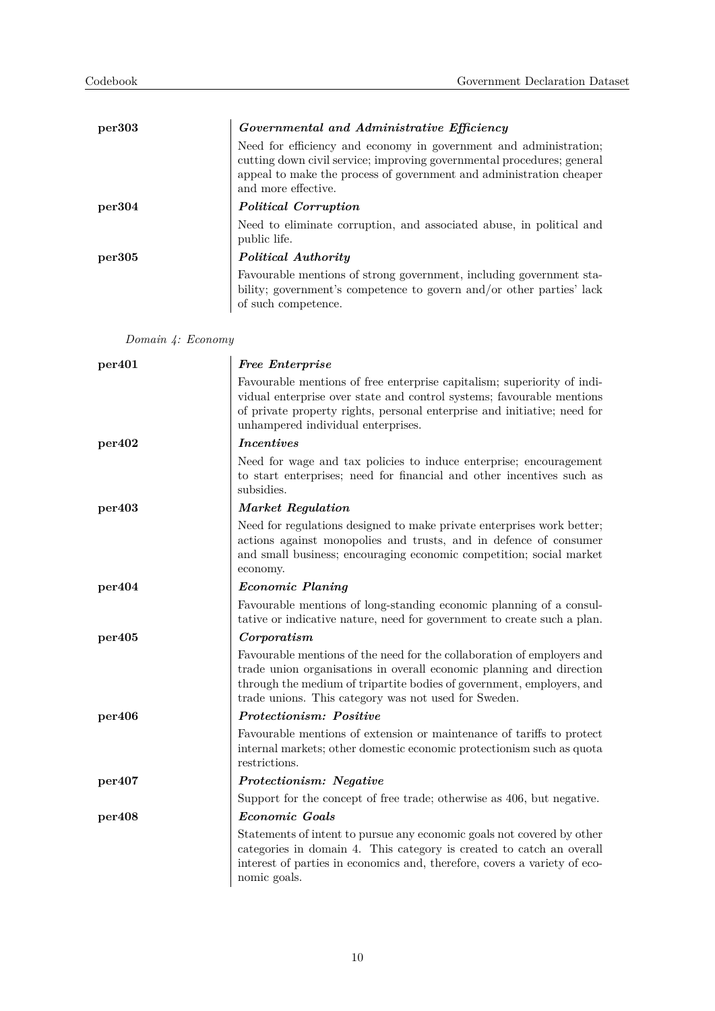| per303 | Governmental and Administrative Efficiency<br>Need for efficiency and economy in government and administration;<br>cutting down civil service; improving governmental procedures; general<br>appeal to make the process of government and administration cheaper<br>and more effective. |
|--------|-----------------------------------------------------------------------------------------------------------------------------------------------------------------------------------------------------------------------------------------------------------------------------------------|
| per304 | Political Corruption                                                                                                                                                                                                                                                                    |
|        | Need to eliminate corruption, and associated abuse, in political and<br>public life.                                                                                                                                                                                                    |
| per305 | <i>Political Authority</i>                                                                                                                                                                                                                                                              |
|        | Favourable mentions of strong government, including government sta-<br>bility; government's competence to govern and/or other parties' lack<br>of such competence.                                                                                                                      |

*Domain 4: Economy*

| per <sub>401</sub> | <b>Free Enterprise</b>                                                                                                                                                                                                                                                          |
|--------------------|---------------------------------------------------------------------------------------------------------------------------------------------------------------------------------------------------------------------------------------------------------------------------------|
|                    | Favourable mentions of free enterprise capitalism; superiority of indi-<br>vidual enterprise over state and control systems; favourable mentions<br>of private property rights, personal enterprise and initiative; need for<br>unhampered individual enterprises.              |
| per402             | <b>Incentives</b>                                                                                                                                                                                                                                                               |
|                    | Need for wage and tax policies to induce enterprise; encouragement<br>to start enterprises; need for financial and other incentives such as<br>subsidies.                                                                                                                       |
| per403             | Market Regulation                                                                                                                                                                                                                                                               |
|                    | Need for regulations designed to make private enterprises work better;<br>actions against monopolies and trusts, and in defence of consumer<br>and small business; encouraging economic competition; social market<br>economy.                                                  |
| per404             | Economic Planing                                                                                                                                                                                                                                                                |
|                    | Favourable mentions of long-standing economic planning of a consul-<br>tative or indicative nature, need for government to create such a plan.                                                                                                                                  |
| per405             | Corporatism                                                                                                                                                                                                                                                                     |
|                    | Favourable mentions of the need for the collaboration of employers and<br>trade union organisations in overall economic planning and direction<br>through the medium of tripartite bodies of government, employers, and<br>trade unions. This category was not used for Sweden. |
| per406             | Protectionism: Positive                                                                                                                                                                                                                                                         |
|                    | Favourable mentions of extension or maintenance of tariffs to protect<br>internal markets; other domestic economic protectionism such as quota<br>restrictions.                                                                                                                 |
| per407             | Protectionism: Negative                                                                                                                                                                                                                                                         |
|                    | Support for the concept of free trade; otherwise as 406, but negative.                                                                                                                                                                                                          |
| per408             | Economic Goals                                                                                                                                                                                                                                                                  |
|                    | Statements of intent to pursue any economic goals not covered by other<br>categories in domain 4. This category is created to catch an overall<br>interest of parties in economics and, therefore, covers a variety of eco-<br>nomic goals.                                     |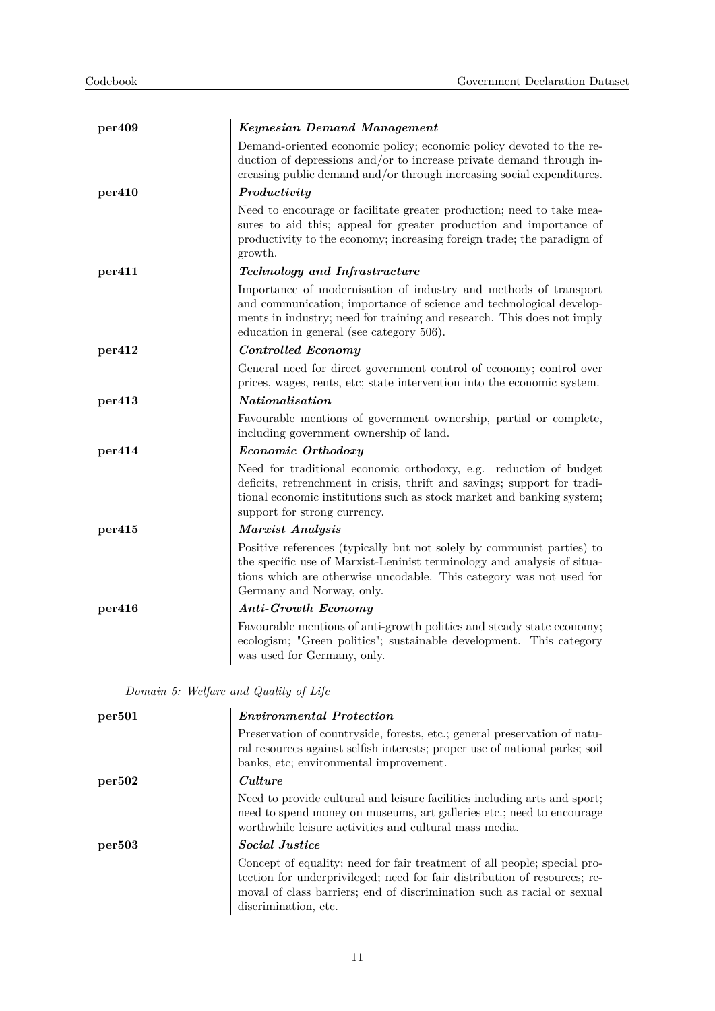| per409 | <b>Keynesian Demand Management</b>                                                                                                                                                                                                                            |
|--------|---------------------------------------------------------------------------------------------------------------------------------------------------------------------------------------------------------------------------------------------------------------|
|        | Demand-oriented economic policy; economic policy devoted to the re-<br>duction of depressions and/or to increase private demand through in-<br>creasing public demand and/or through increasing social expenditures.                                          |
| per410 | Productivity                                                                                                                                                                                                                                                  |
|        | Need to encourage or facilitate greater production; need to take mea-<br>sures to aid this; appeal for greater production and importance of<br>productivity to the economy; increasing foreign trade; the paradigm of<br>growth.                              |
| per411 | Technology and Infrastructure                                                                                                                                                                                                                                 |
|        | Importance of modernisation of industry and methods of transport<br>and communication; importance of science and technological develop-<br>ments in industry; need for training and research. This does not imply<br>education in general (see category 506). |
| per412 | Controlled Economy                                                                                                                                                                                                                                            |
|        | General need for direct government control of economy; control over<br>prices, wages, rents, etc; state intervention into the economic system.                                                                                                                |
| per413 | Nationalisation                                                                                                                                                                                                                                               |
|        | Favourable mentions of government ownership, partial or complete,<br>including government ownership of land.                                                                                                                                                  |
| per414 | Economic Orthodoxy                                                                                                                                                                                                                                            |
|        | Need for traditional economic orthodoxy, e.g. reduction of budget<br>deficits, retrenchment in crisis, thrift and savings; support for tradi-<br>tional economic institutions such as stock market and banking system;<br>support for strong currency.        |
| per415 | Marxist Analysis                                                                                                                                                                                                                                              |
|        | Positive references (typically but not solely by communist parties) to<br>the specific use of Marxist-Leninist terminology and analysis of situa-<br>tions which are otherwise uncodable. This category was not used for<br>Germany and Norway, only.         |
| per416 | <b>Anti-Growth Economy</b>                                                                                                                                                                                                                                    |
|        | Favourable mentions of anti-growth politics and steady state economy;<br>ecologism; "Green politics"; sustainable development. This category<br>was used for Germany, only.                                                                                   |

*Domain 5: Welfare and Quality of Life*

| per501 | <i>Environmental Protection</i>                                                                                                                                                                                                                          |
|--------|----------------------------------------------------------------------------------------------------------------------------------------------------------------------------------------------------------------------------------------------------------|
|        | Preservation of countryside, forests, etc.; general preservation of natu-<br>ral resources against selfish interests; proper use of national parks; soil<br>banks, etc; environmental improvement.                                                       |
| per502 | Culture                                                                                                                                                                                                                                                  |
|        | Need to provide cultural and leisure facilities including arts and sport;<br>need to spend money on museums, art galleries etc.; need to encourage<br>worthwhile leisure activities and cultural mass media.                                             |
| per503 | <i>Social Justice</i>                                                                                                                                                                                                                                    |
|        | Concept of equality; need for fair treatment of all people; special pro-<br>tection for underprivileged; need for fair distribution of resources; re-<br>moval of class barriers; end of discrimination such as racial or sexual<br>discrimination, etc. |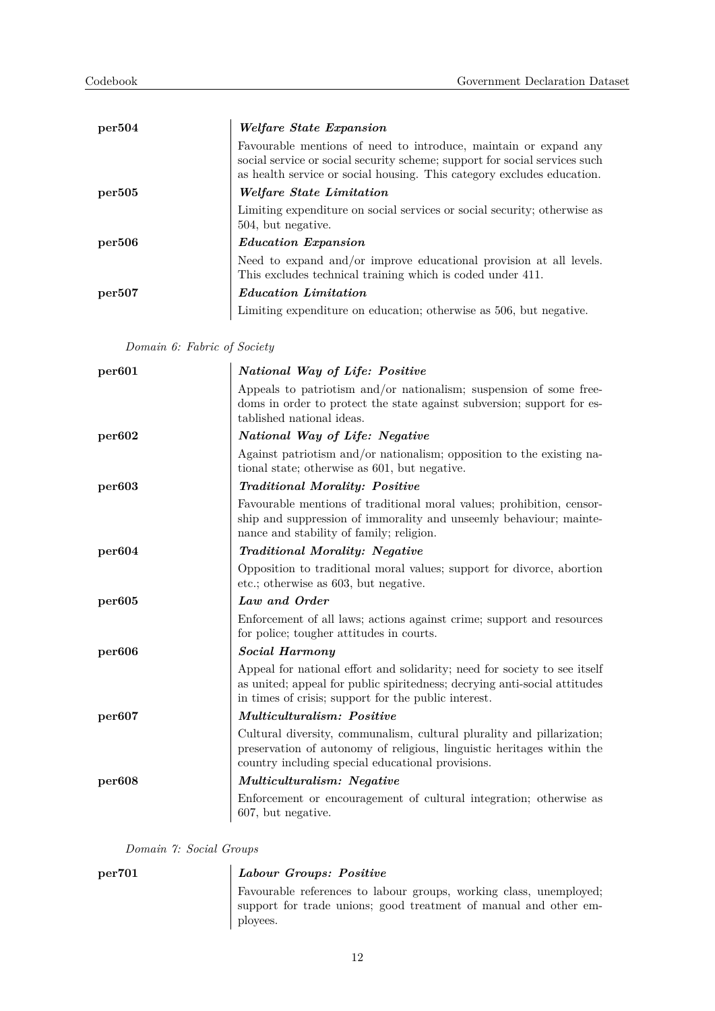| per504 | <i>Welfare State Expansion</i>                                                                                                                                                                                           |
|--------|--------------------------------------------------------------------------------------------------------------------------------------------------------------------------------------------------------------------------|
|        | Favourable mentions of need to introduce, maintain or expand any<br>social service or social security scheme; support for social services such<br>as health service or social housing. This category excludes education. |
| per505 | <i>Welfare State Limitation</i>                                                                                                                                                                                          |
|        | Limiting expenditure on social services or social security; otherwise as<br>504, but negative.                                                                                                                           |
| per506 | <i>Education Expansion</i>                                                                                                                                                                                               |
|        | Need to expand and/or improve educational provision at all levels.<br>This excludes technical training which is coded under 411.                                                                                         |
| per507 | <i>Education Limitation</i>                                                                                                                                                                                              |
|        | Limiting expenditure on education; otherwise as 506, but negative.                                                                                                                                                       |

*Domain 6: Fabric of Society*

| per601             | National Way of Life: Positive                                                                                                                                                                                 |
|--------------------|----------------------------------------------------------------------------------------------------------------------------------------------------------------------------------------------------------------|
|                    | Appeals to patriotism and/or nationalism; suspension of some free-<br>doms in order to protect the state against subversion; support for es-<br>tablished national ideas.                                      |
| per602             | National Way of Life: Negative                                                                                                                                                                                 |
|                    | Against patriotism and/or nationalism; opposition to the existing na-<br>tional state; otherwise as 601, but negative.                                                                                         |
| per <sub>603</sub> | <b>Traditional Morality: Positive</b>                                                                                                                                                                          |
|                    | Favourable mentions of traditional moral values; prohibition, censor-<br>ship and suppression of immorality and unseemly behaviour; mainte-<br>nance and stability of family; religion.                        |
| per604             | <b>Traditional Morality: Negative</b>                                                                                                                                                                          |
|                    | Opposition to traditional moral values; support for divorce, abortion<br>etc.; otherwise as 603, but negative.                                                                                                 |
| per605             | Law and Order                                                                                                                                                                                                  |
|                    | Enforcement of all laws; actions against crime; support and resources<br>for police; tougher attitudes in courts.                                                                                              |
| per <sub>606</sub> | <b>Social Harmony</b>                                                                                                                                                                                          |
|                    | Appeal for national effort and solidarity; need for society to see itself<br>as united; appeal for public spiritedness; decrying anti-social attitudes<br>in times of crisis; support for the public interest. |
| per <sub>607</sub> | <i>Multiculturalism: Positive</i>                                                                                                                                                                              |
|                    | Cultural diversity, communalism, cultural plurality and pillarization;<br>preservation of autonomy of religious, linguistic heritages within the<br>country including special educational provisions.          |
| per <sub>608</sub> | <i>Multiculturalism: Negative</i>                                                                                                                                                                              |
|                    | Enforcement or encouragement of cultural integration; otherwise as<br>607, but negative.                                                                                                                       |

*Domain 7: Social Groups*

## **per701** *Labour Groups: Positive*

Favourable references to labour groups, working class, unemployed; support for trade unions; good treatment of manual and other employees.